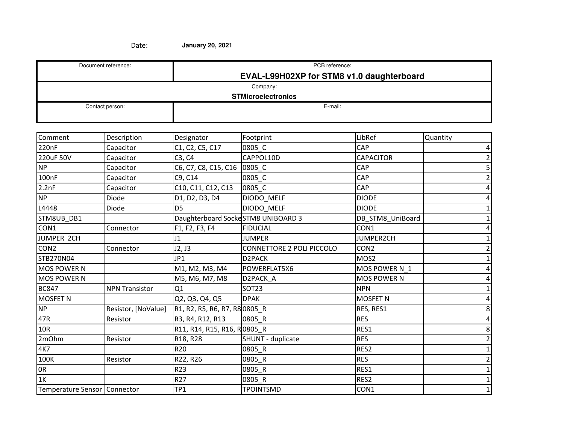| Document reference:       | PCB reference:                            |  |  |  |  |
|---------------------------|-------------------------------------------|--|--|--|--|
|                           | EVAL-L99H02XP for STM8 v1.0 daughterboard |  |  |  |  |
| Company:                  |                                           |  |  |  |  |
| <b>STMicroelectronics</b> |                                           |  |  |  |  |
| Contact person:           | E-mail:                                   |  |  |  |  |
|                           |                                           |  |  |  |  |

| Comment                      | Description           | Designator                         | Footprint                 | LibRef             | Quantity |
|------------------------------|-----------------------|------------------------------------|---------------------------|--------------------|----------|
| 220nF                        | Capacitor             | C1, C2, C5, C17                    | 0805_C                    | CAP                | 4        |
| 220uF 50V                    | Capacitor             | C3, C4                             | CAPPOL10D                 | <b>CAPACITOR</b>   |          |
| <b>NP</b>                    | Capacitor             | C6, C7, C8, C15, C16               | 0805 C                    | CAP                | 5        |
| 100nF                        | Capacitor             | C9, C14                            | 0805_C                    | CAP                |          |
| 2.2nF                        | Capacitor             | C10, C11, C12, C13                 | 0805 C                    | CAP                |          |
| NP                           | Diode                 | D1, D2, D3, D4                     | DIODO_MELF                | <b>DIODE</b>       |          |
| L4448                        | Diode                 | D <sub>5</sub>                     | DIODO MELF                | <b>DIODE</b>       |          |
| STM8UB DB1                   |                       | Daughterboard SockeSTM8 UNIBOARD 3 |                           | DB_STM8_UniBoard   |          |
| CON1                         | Connector             | F1, F2, F3, F4                     | <b>FIDUCIAL</b>           | CON1               |          |
| JUMPER 2CH                   |                       | J <sub>1</sub>                     | <b>JUMPER</b>             | JUMPER2CH          |          |
| CON <sub>2</sub>             | Connector             | J2, J3                             | CONNETTORE 2 POLI PICCOLO | CON <sub>2</sub>   |          |
| STB270N04                    |                       | JP1                                | D2PACK                    | MOS <sub>2</sub>   |          |
| <b>MOS POWER N</b>           |                       | M1, M2, M3, M4                     | POWERFLAT5X6              | MOS POWER N 1      |          |
| <b>MOS POWER N</b>           |                       | M5, M6, M7, M8                     | D2PACK_A                  | <b>MOS POWER N</b> |          |
| <b>BC847</b>                 | <b>NPN Transistor</b> | Q1                                 | <b>SOT23</b>              | <b>NPN</b>         |          |
| <b>MOSFET N</b>              |                       | Q2, Q3, Q4, Q5                     | <b>DPAK</b>               | <b>MOSFET N</b>    |          |
| <b>NP</b>                    | Resistor, [NoValue]   | R1, R2, R5, R6, R7, R8 0805_R      |                           | RES, RES1          | 8        |
| 47R                          | Resistor              | R3, R4, R12, R13                   | 0805_R                    | <b>RES</b>         |          |
| 10R                          |                       | R11, R14, R15, R16, R0805_R        |                           | RES1               | 8        |
| 2mOhm                        | Resistor              | R18, R28                           | SHUNT - duplicate         | <b>RES</b>         |          |
| 4K7                          |                       | R <sub>20</sub>                    | 0805_R                    | RES2               |          |
| 100K                         | Resistor              | R22, R26                           | 0805_R                    | <b>RES</b>         |          |
| 0R                           |                       | R23                                | 0805 R                    | RES1               |          |
| 1K                           |                       | R <sub>27</sub>                    | 0805 R                    | RES2               |          |
| Temperature Sensor Connector |                       | TP1                                | <b>TPOINTSMD</b>          | CON1               |          |